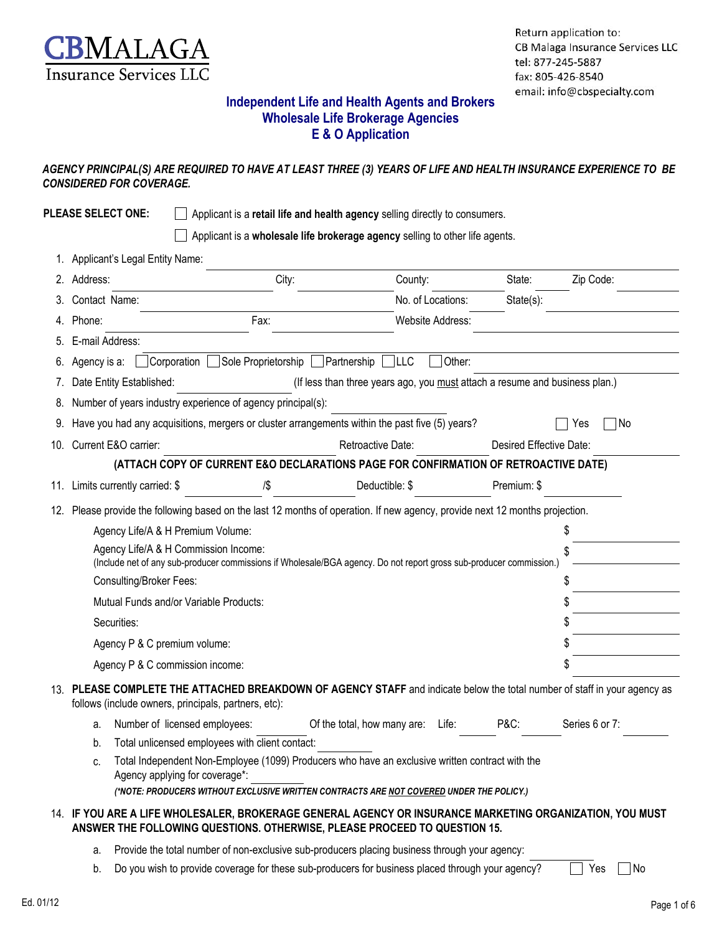

### **Independent Life and Health Agents and Brokers Wholesale Life Brokerage Agencies E & O Application**

#### *AGENCY PRINCIPAL(S) ARE REQUIRED TO HAVE AT LEAST THREE (3) YEARS OF LIFE AND HEALTH INSURANCE EXPERIENCE TO BE CONSIDERED FOR COVERAGE.*

|     | <b>PLEASE SELECT ONE:</b>                                                                                                |                                                                                                                                                                                                                               | Applicant is a retail life and health agency selling directly to consumers.  |                   |                         |                |  |  |
|-----|--------------------------------------------------------------------------------------------------------------------------|-------------------------------------------------------------------------------------------------------------------------------------------------------------------------------------------------------------------------------|------------------------------------------------------------------------------|-------------------|-------------------------|----------------|--|--|
|     |                                                                                                                          |                                                                                                                                                                                                                               | Applicant is a wholesale life brokerage agency selling to other life agents. |                   |                         |                |  |  |
|     | Applicant's Legal Entity Name:                                                                                           |                                                                                                                                                                                                                               |                                                                              |                   |                         |                |  |  |
|     | Address:                                                                                                                 | City:                                                                                                                                                                                                                         | County:                                                                      |                   | State:                  | Zip Code:      |  |  |
|     | Contact Name:                                                                                                            |                                                                                                                                                                                                                               |                                                                              | No. of Locations: | State(s):               |                |  |  |
|     | Phone:                                                                                                                   | Fax:                                                                                                                                                                                                                          |                                                                              | Website Address:  |                         |                |  |  |
|     | E-mail Address:                                                                                                          |                                                                                                                                                                                                                               |                                                                              |                   |                         |                |  |  |
|     | Agency is a:                                                                                                             | $\Box$ Corporation<br>Sole Proprietorship                                                                                                                                                                                     | ∣LLC<br>Partnership                                                          | Other:            |                         |                |  |  |
|     | Date Entity Established:                                                                                                 |                                                                                                                                                                                                                               | (If less than three years ago, you must attach a resume and business plan.)  |                   |                         |                |  |  |
|     |                                                                                                                          | Number of years industry experience of agency principal(s):                                                                                                                                                                   |                                                                              |                   |                         |                |  |  |
| 9.  |                                                                                                                          | Have you had any acquisitions, mergers or cluster arrangements within the past five (5) years?                                                                                                                                |                                                                              |                   |                         | ∏No<br>Yes     |  |  |
| 10. | Current E&O carrier:                                                                                                     |                                                                                                                                                                                                                               | Retroactive Date:                                                            |                   | Desired Effective Date: |                |  |  |
|     |                                                                                                                          | (ATTACH COPY OF CURRENT E&O DECLARATIONS PAGE FOR CONFIRMATION OF RETROACTIVE DATE)                                                                                                                                           |                                                                              |                   |                         |                |  |  |
|     | 11. Limits currently carried: \$                                                                                         | $\sqrt{3}$                                                                                                                                                                                                                    | Deductible: \$                                                               |                   | Premium: \$             |                |  |  |
| 12. | Please provide the following based on the last 12 months of operation. If new agency, provide next 12 months projection. |                                                                                                                                                                                                                               |                                                                              |                   |                         |                |  |  |
|     |                                                                                                                          | Agency Life/A & H Premium Volume:                                                                                                                                                                                             |                                                                              |                   |                         | \$             |  |  |
|     |                                                                                                                          | Agency Life/A & H Commission Income:<br>(Include net of any sub-producer commissions if Wholesale/BGA agency. Do not report gross sub-producer commission.)                                                                   |                                                                              |                   |                         |                |  |  |
|     | Consulting/Broker Fees:                                                                                                  |                                                                                                                                                                                                                               |                                                                              |                   |                         |                |  |  |
|     |                                                                                                                          | Mutual Funds and/or Variable Products:                                                                                                                                                                                        |                                                                              |                   |                         |                |  |  |
|     | Securities:                                                                                                              |                                                                                                                                                                                                                               |                                                                              |                   |                         |                |  |  |
|     | Agency P & C premium volume:                                                                                             |                                                                                                                                                                                                                               |                                                                              |                   |                         |                |  |  |
|     |                                                                                                                          | Agency P & C commission income:                                                                                                                                                                                               |                                                                              |                   |                         |                |  |  |
|     |                                                                                                                          | 13. PLEASE COMPLETE THE ATTACHED BREAKDOWN OF AGENCY STAFF and indicate below the total number of staff in your agency as<br>follows (include owners, principals, partners, etc):                                             |                                                                              |                   |                         |                |  |  |
|     | a.                                                                                                                       | Number of licensed employees:                                                                                                                                                                                                 | Of the total, how many are:                                                  | Life:             | <b>P&amp;C:</b>         | Series 6 or 7: |  |  |
|     | b.                                                                                                                       | Total unlicensed employees with client contact:                                                                                                                                                                               |                                                                              |                   |                         |                |  |  |
|     | C.                                                                                                                       | Total Independent Non-Employee (1099) Producers who have an exclusive written contract with the<br>Agency applying for coverage*:<br>(*NOTE: PRODUCERS WITHOUT EXCLUSIVE WRITTEN CONTRACTS ARE NOT COVERED UNDER THE POLICY.) |                                                                              |                   |                         |                |  |  |
|     |                                                                                                                          |                                                                                                                                                                                                                               |                                                                              |                   |                         |                |  |  |
|     |                                                                                                                          | 14. IF YOU ARE A LIFE WHOLESALER, BROKERAGE GENERAL AGENCY OR INSURANCE MARKETING ORGANIZATION, YOU MUST<br>ANSWER THE FOLLOWING QUESTIONS. OTHERWISE, PLEASE PROCEED TO QUESTION 15.                                         |                                                                              |                   |                         |                |  |  |
|     | a.                                                                                                                       | Provide the total number of non-exclusive sub-producers placing business through your agency:                                                                                                                                 |                                                                              |                   |                         |                |  |  |

b. Do you wish to provide coverage for these sub-producers for business placed through your agency?  $\Box$  Yes  $\Box$  No

 $\overline{\phantom{a}}$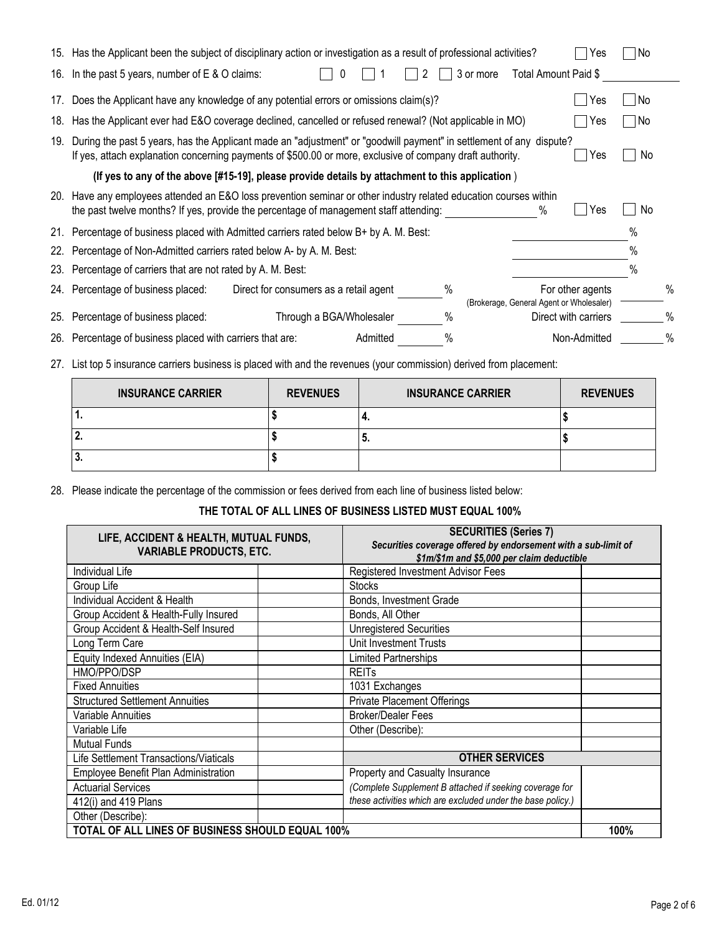|     | 15. Has the Applicant been the subject of disciplinary action or investigation as a result of professional activities?                                                                                                                  | Yes                  | l No |      |  |  |
|-----|-----------------------------------------------------------------------------------------------------------------------------------------------------------------------------------------------------------------------------------------|----------------------|------|------|--|--|
| 16. | In the past 5 years, number of $E \& O$ claims:<br>Total Amount Paid \$<br>3 or more                                                                                                                                                    |                      |      |      |  |  |
| 17. | Does the Applicant have any knowledge of any potential errors or omissions claim(s)?                                                                                                                                                    | Yes                  | l No |      |  |  |
| 18. | Has the Applicant ever had E&O coverage declined, cancelled or refused renewal? (Not applicable in MO)                                                                                                                                  | Yes                  | l No |      |  |  |
| 19. | During the past 5 years, has the Applicant made an "adjustment" or "goodwill payment" in settlement of any dispute?<br>If yes, attach explanation concerning payments of \$500.00 or more, exclusive of company draft authority.<br>Yes |                      |      |      |  |  |
|     | (If yes to any of the above [#15-19], please provide details by attachment to this application)                                                                                                                                         |                      |      |      |  |  |
| 20. | Have any employees attended an E&O loss prevention seminar or other industry related education courses within<br>$\%$<br>the past twelve months? If yes, provide the percentage of management staff attending:                          | Yes                  | No.  |      |  |  |
| 21. | Percentage of business placed with Admitted carriers rated below B+ by A. M. Best:                                                                                                                                                      |                      | $\%$ |      |  |  |
| 22. | Percentage of Non-Admitted carriers rated below A- by A. M. Best:                                                                                                                                                                       |                      | $\%$ |      |  |  |
| 23. | Percentage of carriers that are not rated by A. M. Best:                                                                                                                                                                                |                      | $\%$ |      |  |  |
| 24. | $\%$<br>Percentage of business placed:<br>Direct for consumers as a retail agent                                                                                                                                                        | For other agents     |      | $\%$ |  |  |
| 25. | (Brokerage, General Agent or Wholesaler)<br>Through a BGA/Wholesaler<br>%<br>Percentage of business placed:                                                                                                                             | Direct with carriers |      | %    |  |  |
| 26. | %<br>Percentage of business placed with carriers that are:<br>Admitted                                                                                                                                                                  | Non-Admitted         |      | $\%$ |  |  |
|     |                                                                                                                                                                                                                                         |                      |      |      |  |  |

27. List top 5 insurance carriers business is placed with and the revenues (your commission) derived from placement:

| <b>INSURANCE CARRIER</b> | <b>REVENUES</b> | <b>INSURANCE CARRIER</b> | <b>REVENUES</b> |
|--------------------------|-----------------|--------------------------|-----------------|
| $\mathbf{1}$ .           |                 | т.                       |                 |
| l 2.                     |                 | J.                       |                 |
| l3.                      |                 |                          |                 |

28. Please indicate the percentage of the commission or fees derived from each line of business listed below:

### **THE TOTAL OF ALL LINES OF BUSINESS LISTED MUST EQUAL 100%**

| LIFE, ACCIDENT & HEALTH, MUTUAL FUNDS,<br><b>VARIABLE PRODUCTS, ETC.</b> | <b>SECURITIES (Series 7)</b><br>Securities coverage offered by endorsement with a sub-limit of<br>\$1m/\$1m and \$5,000 per claim deductible |      |  |  |
|--------------------------------------------------------------------------|----------------------------------------------------------------------------------------------------------------------------------------------|------|--|--|
| Individual Life                                                          | Registered Investment Advisor Fees                                                                                                           |      |  |  |
| Group Life                                                               | <b>Stocks</b>                                                                                                                                |      |  |  |
| Individual Accident & Health                                             | Bonds, Investment Grade                                                                                                                      |      |  |  |
| Group Accident & Health-Fully Insured                                    | Bonds, All Other                                                                                                                             |      |  |  |
| Group Accident & Health-Self Insured                                     | <b>Unregistered Securities</b>                                                                                                               |      |  |  |
| Long Term Care                                                           | Unit Investment Trusts                                                                                                                       |      |  |  |
| Equity Indexed Annuities (EIA)                                           | <b>Limited Partnerships</b>                                                                                                                  |      |  |  |
| HMO/PPO/DSP                                                              | <b>REIT<sub>s</sub></b>                                                                                                                      |      |  |  |
| <b>Fixed Annuities</b>                                                   | 1031 Exchanges                                                                                                                               |      |  |  |
| <b>Structured Settlement Annuities</b>                                   | <b>Private Placement Offerings</b>                                                                                                           |      |  |  |
| Variable Annuities                                                       | <b>Broker/Dealer Fees</b>                                                                                                                    |      |  |  |
| Variable Life                                                            | Other (Describe):                                                                                                                            |      |  |  |
| <b>Mutual Funds</b>                                                      |                                                                                                                                              |      |  |  |
| Life Settlement Transactions/Viaticals                                   | <b>OTHER SERVICES</b>                                                                                                                        |      |  |  |
| Employee Benefit Plan Administration                                     | Property and Casualty Insurance                                                                                                              |      |  |  |
| <b>Actuarial Services</b>                                                | (Complete Supplement B attached if seeking coverage for                                                                                      |      |  |  |
| 412(i) and 419 Plans                                                     | these activities which are excluded under the base policy.)                                                                                  |      |  |  |
| Other (Describe):                                                        |                                                                                                                                              |      |  |  |
| TOTAL OF ALL LINES OF BUSINESS SHOULD EQUAL 100%                         |                                                                                                                                              | 100% |  |  |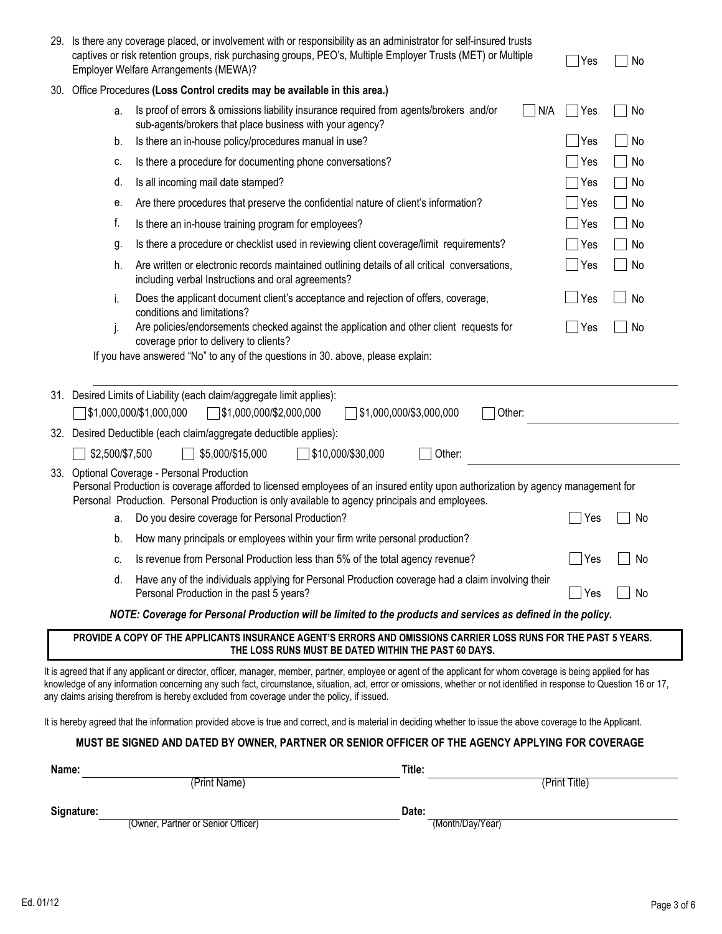| 29.   | Is there any coverage placed, or involvement with or responsibility as an administrator for self-insured trusts<br>captives or risk retention groups, risk purchasing groups, PEO's, Multiple Employer Trusts (MET) or Multiple<br>Employer Welfare Arrangements (MEWA)? | Yes                                                                                                                                                                                                                                                                                                                                                                                                                                                                                                                                                                                                                                                                                                          | No                                |               |    |
|-------|--------------------------------------------------------------------------------------------------------------------------------------------------------------------------------------------------------------------------------------------------------------------------|--------------------------------------------------------------------------------------------------------------------------------------------------------------------------------------------------------------------------------------------------------------------------------------------------------------------------------------------------------------------------------------------------------------------------------------------------------------------------------------------------------------------------------------------------------------------------------------------------------------------------------------------------------------------------------------------------------------|-----------------------------------|---------------|----|
|       |                                                                                                                                                                                                                                                                          | 30. Office Procedures (Loss Control credits may be available in this area.)                                                                                                                                                                                                                                                                                                                                                                                                                                                                                                                                                                                                                                  |                                   |               |    |
|       | a.                                                                                                                                                                                                                                                                       | Is proof of errors & omissions liability insurance required from agents/brokers and/or<br>sub-agents/brokers that place business with your agency?                                                                                                                                                                                                                                                                                                                                                                                                                                                                                                                                                           |                                   | N/A<br>Yes    | No |
|       | b.                                                                                                                                                                                                                                                                       | Is there an in-house policy/procedures manual in use?                                                                                                                                                                                                                                                                                                                                                                                                                                                                                                                                                                                                                                                        |                                   | Yes           | No |
|       | c.                                                                                                                                                                                                                                                                       | Is there a procedure for documenting phone conversations?                                                                                                                                                                                                                                                                                                                                                                                                                                                                                                                                                                                                                                                    |                                   | ∣Yes          | No |
|       | d.                                                                                                                                                                                                                                                                       | Is all incoming mail date stamped?                                                                                                                                                                                                                                                                                                                                                                                                                                                                                                                                                                                                                                                                           |                                   | Yes           | No |
|       | е.                                                                                                                                                                                                                                                                       | Are there procedures that preserve the confidential nature of client's information?                                                                                                                                                                                                                                                                                                                                                                                                                                                                                                                                                                                                                          |                                   | Yes           | No |
|       | f.                                                                                                                                                                                                                                                                       | Is there an in-house training program for employees?                                                                                                                                                                                                                                                                                                                                                                                                                                                                                                                                                                                                                                                         |                                   | Yes           | No |
|       | g.                                                                                                                                                                                                                                                                       | Is there a procedure or checklist used in reviewing client coverage/limit requirements?                                                                                                                                                                                                                                                                                                                                                                                                                                                                                                                                                                                                                      |                                   | Yes           | No |
|       | h.                                                                                                                                                                                                                                                                       | Are written or electronic records maintained outlining details of all critical conversations,<br>including verbal Instructions and oral agreements?                                                                                                                                                                                                                                                                                                                                                                                                                                                                                                                                                          |                                   | Yes           | No |
|       | i.                                                                                                                                                                                                                                                                       | Does the applicant document client's acceptance and rejection of offers, coverage,<br>conditions and limitations?                                                                                                                                                                                                                                                                                                                                                                                                                                                                                                                                                                                            |                                   | Yes           | No |
|       | j.                                                                                                                                                                                                                                                                       | Are policies/endorsements checked against the application and other client requests for<br>coverage prior to delivery to clients?                                                                                                                                                                                                                                                                                                                                                                                                                                                                                                                                                                            |                                   | Yes           | No |
|       |                                                                                                                                                                                                                                                                          | If you have answered "No" to any of the questions in 30. above, please explain:                                                                                                                                                                                                                                                                                                                                                                                                                                                                                                                                                                                                                              |                                   |               |    |
|       |                                                                                                                                                                                                                                                                          | 31. Desired Limits of Liability (each claim/aggregate limit applies):<br>\$1,000,000/\$1,000,000<br>1\$1,000,000/\$2,000,000                                                                                                                                                                                                                                                                                                                                                                                                                                                                                                                                                                                 | \$1,000,000/\$3,000,000<br>Other: |               |    |
|       |                                                                                                                                                                                                                                                                          | 32. Desired Deductible (each claim/aggregate deductible applies):                                                                                                                                                                                                                                                                                                                                                                                                                                                                                                                                                                                                                                            |                                   |               |    |
|       | \$2,500/\$7,500                                                                                                                                                                                                                                                          | \$5,000/\$15,000<br>$\sqrt{\$10,000/\$30,000}$                                                                                                                                                                                                                                                                                                                                                                                                                                                                                                                                                                                                                                                               | Other:                            |               |    |
|       |                                                                                                                                                                                                                                                                          | 33. Optional Coverage - Personal Production<br>Personal Production is coverage afforded to licensed employees of an insured entity upon authorization by agency management for<br>Personal Production. Personal Production is only available to agency principals and employees.                                                                                                                                                                                                                                                                                                                                                                                                                             |                                   |               |    |
|       | a.                                                                                                                                                                                                                                                                       | Do you desire coverage for Personal Production?                                                                                                                                                                                                                                                                                                                                                                                                                                                                                                                                                                                                                                                              |                                   | Yes           | No |
|       | b.                                                                                                                                                                                                                                                                       | How many principals or employees within your firm write personal production?                                                                                                                                                                                                                                                                                                                                                                                                                                                                                                                                                                                                                                 |                                   |               |    |
|       | C.                                                                                                                                                                                                                                                                       | Is revenue from Personal Production less than 5% of the total agency revenue?                                                                                                                                                                                                                                                                                                                                                                                                                                                                                                                                                                                                                                |                                   | $7$ Yes       | No |
|       | d.                                                                                                                                                                                                                                                                       | Have any of the individuals applying for Personal Production coverage had a claim involving their<br>Personal Production in the past 5 years?                                                                                                                                                                                                                                                                                                                                                                                                                                                                                                                                                                |                                   | $\Box$ Yes    | No |
|       |                                                                                                                                                                                                                                                                          | NOTE: Coverage for Personal Production will be limited to the products and services as defined in the policy.                                                                                                                                                                                                                                                                                                                                                                                                                                                                                                                                                                                                |                                   |               |    |
|       |                                                                                                                                                                                                                                                                          | PROVIDE A COPY OF THE APPLICANTS INSURANCE AGENT'S ERRORS AND OMISSIONS CARRIER LOSS RUNS FOR THE PAST 5 YEARS.<br>THE LOSS RUNS MUST BE DATED WITHIN THE PAST 60 DAYS.                                                                                                                                                                                                                                                                                                                                                                                                                                                                                                                                      |                                   |               |    |
|       |                                                                                                                                                                                                                                                                          | It is agreed that if any applicant or director, officer, manager, member, partner, employee or agent of the applicant for whom coverage is being applied for has<br>knowledge of any information concerning any such fact, circumstance, situation, act, error or omissions, whether or not identified in response to Question 16 or 17,<br>any claims arising therefrom is hereby excluded from coverage under the policy, if issued.<br>It is hereby agreed that the information provided above is true and correct, and is material in deciding whether to issue the above coverage to the Applicant.<br>MUST BE SIGNED AND DATED BY OWNER, PARTNER OR SENIOR OFFICER OF THE AGENCY APPLYING FOR COVERAGE |                                   |               |    |
|       |                                                                                                                                                                                                                                                                          |                                                                                                                                                                                                                                                                                                                                                                                                                                                                                                                                                                                                                                                                                                              |                                   |               |    |
| Name: |                                                                                                                                                                                                                                                                          | (Print Name)                                                                                                                                                                                                                                                                                                                                                                                                                                                                                                                                                                                                                                                                                                 | Title:                            | (Print Title) |    |
|       |                                                                                                                                                                                                                                                                          |                                                                                                                                                                                                                                                                                                                                                                                                                                                                                                                                                                                                                                                                                                              |                                   |               |    |
|       | Signature:                                                                                                                                                                                                                                                               | (Owner, Partner or Senior Officer)                                                                                                                                                                                                                                                                                                                                                                                                                                                                                                                                                                                                                                                                           | Date:<br>(Month/Day/Year)         |               |    |
|       |                                                                                                                                                                                                                                                                          |                                                                                                                                                                                                                                                                                                                                                                                                                                                                                                                                                                                                                                                                                                              |                                   |               |    |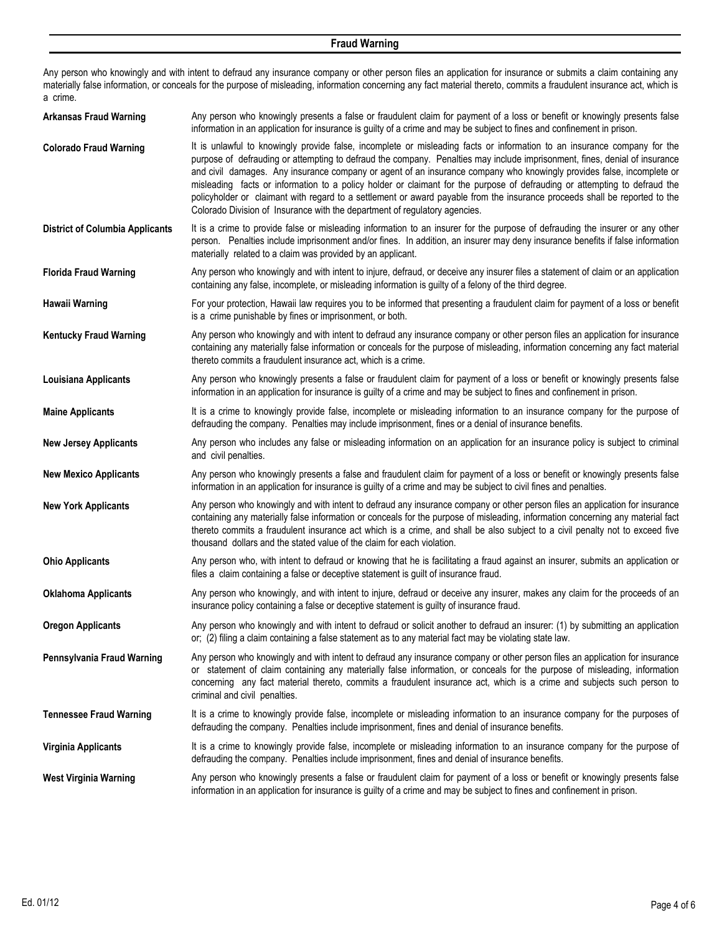#### **Fraud Warning**

Any person who knowingly and with intent to defraud any insurance company or other person files an application for insurance or submits a claim containing any materially false information, or conceals for the purpose of misleading, information concerning any fact material thereto, commits a fraudulent insurance act, which is a crime.

| <b>Arkansas Fraud Warning</b>          | Any person who knowingly presents a false or fraudulent claim for payment of a loss or benefit or knowingly presents false<br>information in an application for insurance is guilty of a crime and may be subject to fines and confinement in prison.                                                                                                                                                                                                                                                                                                                                                                                                                                                                    |
|----------------------------------------|--------------------------------------------------------------------------------------------------------------------------------------------------------------------------------------------------------------------------------------------------------------------------------------------------------------------------------------------------------------------------------------------------------------------------------------------------------------------------------------------------------------------------------------------------------------------------------------------------------------------------------------------------------------------------------------------------------------------------|
| <b>Colorado Fraud Warning</b>          | It is unlawful to knowingly provide false, incomplete or misleading facts or information to an insurance company for the<br>purpose of defrauding or attempting to defraud the company. Penalties may include imprisonment, fines, denial of insurance<br>and civil damages. Any insurance company or agent of an insurance company who knowingly provides false, incomplete or<br>misleading facts or information to a policy holder or claimant for the purpose of defrauding or attempting to defraud the<br>policyholder or claimant with regard to a settlement or award payable from the insurance proceeds shall be reported to the<br>Colorado Division of Insurance with the department of regulatory agencies. |
| <b>District of Columbia Applicants</b> | It is a crime to provide false or misleading information to an insurer for the purpose of defrauding the insurer or any other<br>person. Penalties include imprisonment and/or fines. In addition, an insurer may deny insurance benefits if false information<br>materially related to a claim was provided by an applicant.                                                                                                                                                                                                                                                                                                                                                                                            |
| <b>Florida Fraud Warning</b>           | Any person who knowingly and with intent to injure, defraud, or deceive any insurer files a statement of claim or an application<br>containing any false, incomplete, or misleading information is guilty of a felony of the third degree.                                                                                                                                                                                                                                                                                                                                                                                                                                                                               |
| Hawaii Warning                         | For your protection, Hawaii law requires you to be informed that presenting a fraudulent claim for payment of a loss or benefit<br>is a crime punishable by fines or imprisonment, or both.                                                                                                                                                                                                                                                                                                                                                                                                                                                                                                                              |
| <b>Kentucky Fraud Warning</b>          | Any person who knowingly and with intent to defraud any insurance company or other person files an application for insurance<br>containing any materially false information or conceals for the purpose of misleading, information concerning any fact material<br>thereto commits a fraudulent insurance act, which is a crime.                                                                                                                                                                                                                                                                                                                                                                                         |
| Louisiana Applicants                   | Any person who knowingly presents a false or fraudulent claim for payment of a loss or benefit or knowingly presents false<br>information in an application for insurance is guilty of a crime and may be subject to fines and confinement in prison.                                                                                                                                                                                                                                                                                                                                                                                                                                                                    |
| <b>Maine Applicants</b>                | It is a crime to knowingly provide false, incomplete or misleading information to an insurance company for the purpose of<br>defrauding the company. Penalties may include imprisonment, fines or a denial of insurance benefits.                                                                                                                                                                                                                                                                                                                                                                                                                                                                                        |
| <b>New Jersey Applicants</b>           | Any person who includes any false or misleading information on an application for an insurance policy is subject to criminal<br>and civil penalties.                                                                                                                                                                                                                                                                                                                                                                                                                                                                                                                                                                     |
| <b>New Mexico Applicants</b>           | Any person who knowingly presents a false and fraudulent claim for payment of a loss or benefit or knowingly presents false<br>information in an application for insurance is guilty of a crime and may be subject to civil fines and penalties.                                                                                                                                                                                                                                                                                                                                                                                                                                                                         |
| <b>New York Applicants</b>             | Any person who knowingly and with intent to defraud any insurance company or other person files an application for insurance<br>containing any materially false information or conceals for the purpose of misleading, information concerning any material fact<br>thereto commits a fraudulent insurance act which is a crime, and shall be also subject to a civil penalty not to exceed five<br>thousand dollars and the stated value of the claim for each violation.                                                                                                                                                                                                                                                |
| <b>Ohio Applicants</b>                 | Any person who, with intent to defraud or knowing that he is facilitating a fraud against an insurer, submits an application or<br>files a claim containing a false or deceptive statement is guilt of insurance fraud.                                                                                                                                                                                                                                                                                                                                                                                                                                                                                                  |
| <b>Oklahoma Applicants</b>             | Any person who knowingly, and with intent to injure, defraud or deceive any insurer, makes any claim for the proceeds of an<br>insurance policy containing a false or deceptive statement is guilty of insurance fraud.                                                                                                                                                                                                                                                                                                                                                                                                                                                                                                  |
| <b>Oregon Applicants</b>               | Any person who knowingly and with intent to defraud or solicit another to defraud an insurer: (1) by submitting an application<br>or; (2) filing a claim containing a false statement as to any material fact may be violating state law.                                                                                                                                                                                                                                                                                                                                                                                                                                                                                |
| Pennsylvania Fraud Warning             | Any person who knowingly and with intent to defraud any insurance company or other person files an application for insurance<br>or statement of claim containing any materially false information, or conceals for the purpose of misleading, information<br>concerning any fact material thereto, commits a fraudulent insurance act, which is a crime and subjects such person to<br>criminal and civil penalties.                                                                                                                                                                                                                                                                                                     |
| <b>Tennessee Fraud Warning</b>         | It is a crime to knowingly provide false, incomplete or misleading information to an insurance company for the purposes of<br>defrauding the company. Penalties include imprisonment, fines and denial of insurance benefits.                                                                                                                                                                                                                                                                                                                                                                                                                                                                                            |
| <b>Virginia Applicants</b>             | It is a crime to knowingly provide false, incomplete or misleading information to an insurance company for the purpose of<br>defrauding the company. Penalties include imprisonment, fines and denial of insurance benefits.                                                                                                                                                                                                                                                                                                                                                                                                                                                                                             |
| <b>West Virginia Warning</b>           | Any person who knowingly presents a false or fraudulent claim for payment of a loss or benefit or knowingly presents false<br>information in an application for insurance is guilty of a crime and may be subject to fines and confinement in prison.                                                                                                                                                                                                                                                                                                                                                                                                                                                                    |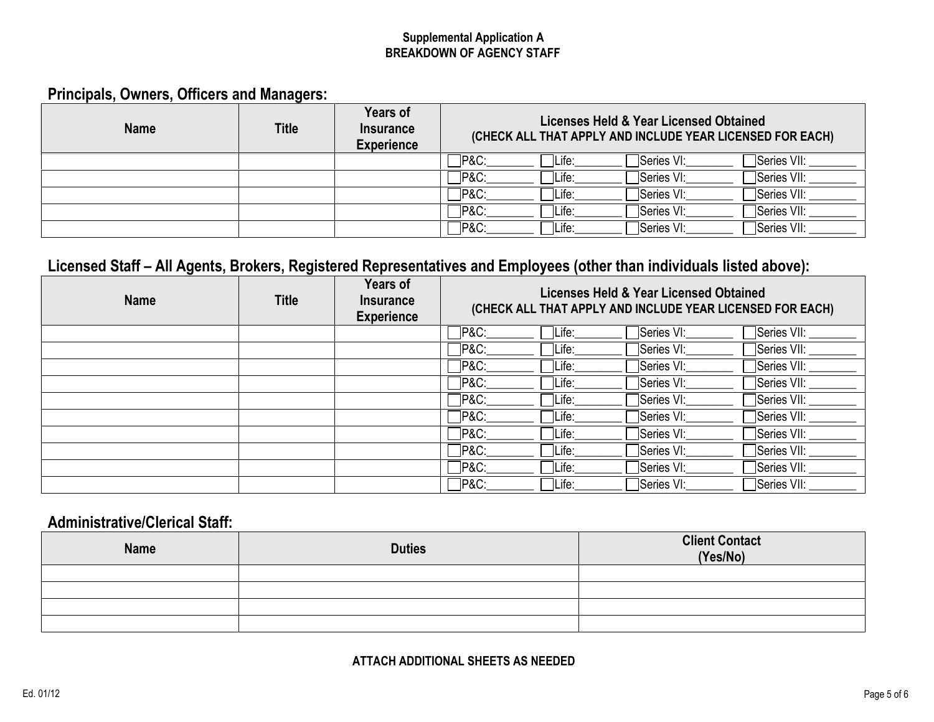### **BREAKDOWN OF AGENCY STAFF Supplemental Application A**

# **Principals, Owners, Officers and Managers:**

| <b>Name</b> | <b>Title</b> | Years of<br><b>Insurance</b><br><b>Experience</b> | Licenses Held & Year Licensed Obtained<br>(CHECK ALL THAT APPLY AND INCLUDE YEAR LICENSED FOR EACH) |  |  |
|-------------|--------------|---------------------------------------------------|-----------------------------------------------------------------------------------------------------|--|--|
|             |              |                                                   | Series VI:<br>Series VII:<br>$P&C$ :<br>Life:                                                       |  |  |
|             |              |                                                   | <b>TP&amp;C:</b><br>∏Series VII:<br>Series VI:<br>Life:                                             |  |  |
|             |              |                                                   | ∃Series VII:<br>Series VI:<br>PAC:<br>Life:                                                         |  |  |
|             |              |                                                   | <b>P&amp;C:</b><br>∃Series VII:<br>Series VI:<br>Life:                                              |  |  |
|             |              |                                                   | ∃Series VII:<br>Series VI:<br><b>TP&amp;C:</b><br>Life:                                             |  |  |

# **Licensed Staff – All Agents, Brokers, Registered Representatives and Employees (other than individuals listed above):**

| <b>Name</b> | <b>Title</b> | <b>Years of</b><br><b>Insurance</b><br><b>Experience</b> | Licenses Held & Year Licensed Obtained<br>(CHECK ALL THAT APPLY AND INCLUDE YEAR LICENSED FOR EACH) |        |            |             |
|-------------|--------------|----------------------------------------------------------|-----------------------------------------------------------------------------------------------------|--------|------------|-------------|
|             |              |                                                          | ヿP&C:                                                                                               | Life:  | Series VI: | Series VII: |
|             |              |                                                          | <b>P&amp;C:</b>                                                                                     | Life:  | Series VI: | Series VII: |
|             |              |                                                          | $\n  PRO:\n$                                                                                        | ∣Life: | Series VI: | Series VII: |
|             |              |                                                          | $\n  PAC$                                                                                           | Life:  | Series VI: | Series VII: |
|             |              |                                                          | $\neg$ P&C:                                                                                         | Life:  | Series VI: | Series VII: |
|             |              |                                                          | <b>∃</b> P&C:                                                                                       | Life:  | Series VI: | Series VII: |
|             |              |                                                          | <b>_P&amp;C:</b>                                                                                    | Life:  | Series VI: | Series VII: |
|             |              |                                                          | <b>P&amp;C:</b>                                                                                     | ÌLife: | Series VI: | Series VII: |
|             |              |                                                          | <b>P&amp;C:</b>                                                                                     | Life:  | Series VI: | Series VII: |
|             |              |                                                          | <b>P&amp;C:</b>                                                                                     | Life:  | Series VI: | Series VII: |

### **Administrative/Clerical Staff:**

| Name | <b>Duties</b> | <b>Client Contact</b><br>(Yes/No) |
|------|---------------|-----------------------------------|
|      |               |                                   |
|      |               |                                   |
|      |               |                                   |
|      |               |                                   |

### **ATTACH ADDITIONAL SHEETS AS NEEDED**